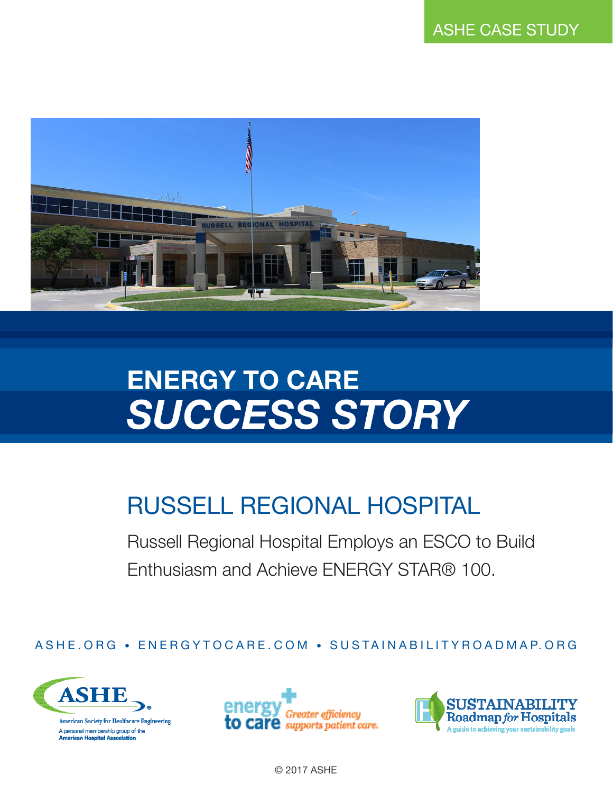

# **ENERGY TO CARE** *SUCCESS STORY*

# RUSSELL REGIONAL HOSPITAL

Russell Regional Hospital Employs an ESCO to Build Enthusiasm and Achieve ENERGY STAR® 100.

ASHE.ORG • ENERGYTOCARE.COM • SUSTAINABILITYROADMAP.ORG







© 2017 ASHE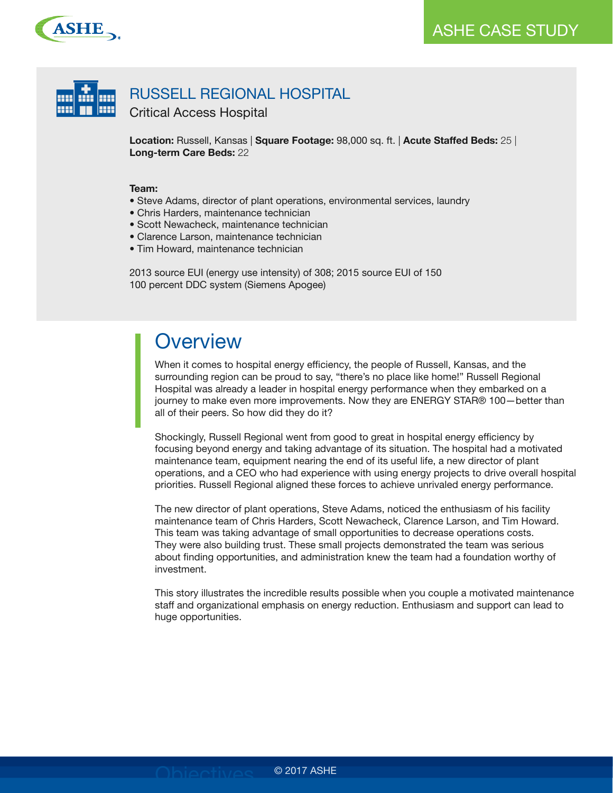



**Location:** Russell, Kansas | **Square Footage:** 98,000 sq. ft. | **Acute Staffed Beds:** 25 | **Long-term Care Beds:** 22

#### **Team:**

- Steve Adams, director of plant operations, environmental services, laundry
- Chris Harders, maintenance technician
- Scott Newacheck, maintenance technician
- Clarence Larson, maintenance technician
- Tim Howard, maintenance technician

2013 source EUI (energy use intensity) of 308; 2015 source EUI of 150 100 percent DDC system (Siemens Apogee)

### **Overview**

When it comes to hospital energy efficiency, the people of Russell, Kansas, and the surrounding region can be proud to say, "there's no place like home!" Russell Regional Hospital was already a leader in hospital energy performance when they embarked on a journey to make even more improvements. Now they are ENERGY STAR® 100—better than all of their peers. So how did they do it?

Shockingly, Russell Regional went from good to great in hospital energy efficiency by focusing beyond energy and taking advantage of its situation. The hospital had a motivated maintenance team, equipment nearing the end of its useful life, a new director of plant operations, and a CEO who had experience with using energy projects to drive overall hospital priorities. Russell Regional aligned these forces to achieve unrivaled energy performance.

The new director of plant operations, Steve Adams, noticed the enthusiasm of his facility maintenance team of Chris Harders, Scott Newacheck, Clarence Larson, and Tim Howard. This team was taking advantage of small opportunities to decrease operations costs. They were also building trust. These small projects demonstrated the team was serious about finding opportunities, and administration knew the team had a foundation worthy of investment.

This story illustrates the incredible results possible when you couple a motivated maintenance staff and organizational emphasis on energy reduction. Enthusiasm and support can lead to huge opportunities.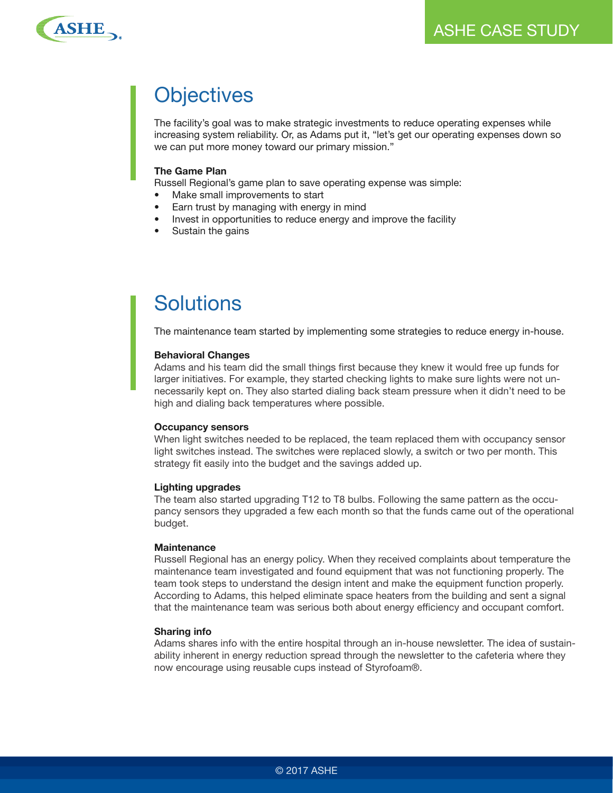

# **Objectives**

The facility's goal was to make strategic investments to reduce operating expenses while increasing system reliability. Or, as Adams put it, "let's get our operating expenses down so we can put more money toward our primary mission."

#### **The Game Plan**

Russell Regional's game plan to save operating expense was simple:

- Make small improvements to start
- Earn trust by managing with energy in mind
- Invest in opportunities to reduce energy and improve the facility
- Sustain the gains

## Solutions

The maintenance team started by implementing some strategies to reduce energy in-house.

#### **Behavioral Changes**

Adams and his team did the small things first because they knew it would free up funds for larger initiatives. For example, they started checking lights to make sure lights were not unnecessarily kept on. They also started dialing back steam pressure when it didn't need to be high and dialing back temperatures where possible.

#### **Occupancy sensors**

When light switches needed to be replaced, the team replaced them with occupancy sensor light switches instead. The switches were replaced slowly, a switch or two per month. This strategy fit easily into the budget and the savings added up.

#### **Lighting upgrades**

The team also started upgrading T12 to T8 bulbs. Following the same pattern as the occupancy sensors they upgraded a few each month so that the funds came out of the operational budget.

#### **Maintenance**

Russell Regional has an energy policy. When they received complaints about temperature the maintenance team investigated and found equipment that was not functioning properly. The team took steps to understand the design intent and make the equipment function properly. According to Adams, this helped eliminate space heaters from the building and sent a signal that the maintenance team was serious both about energy efficiency and occupant comfort.

#### **Sharing info**

Adams shares info with the entire hospital through an in-house newsletter. The idea of sustainability inherent in energy reduction spread through the newsletter to the cafeteria where they now encourage using reusable cups instead of Styrofoam®.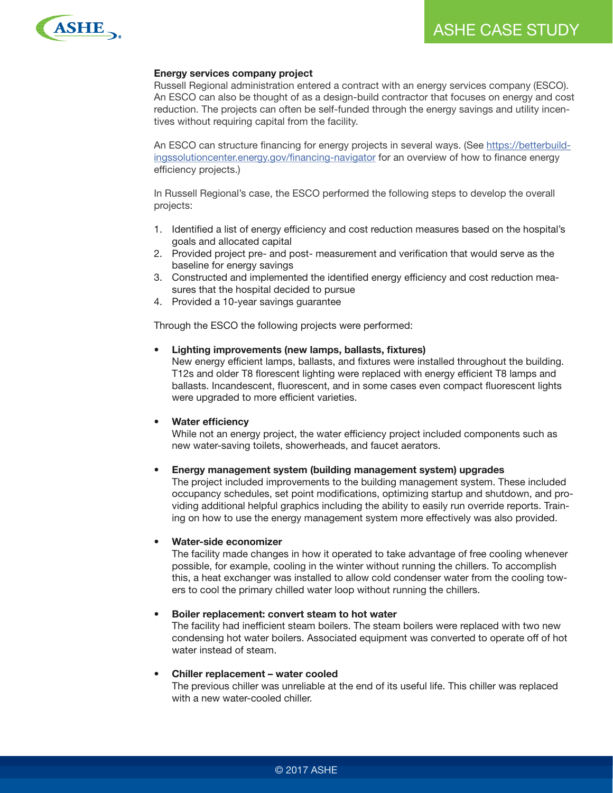

#### **Energy services company project**

Russell Regional administration entered a contract with an energy services company (ESCO). An ESCO can also be thought of as a design-build contractor that focuses on energy and cost reduction. The projects can often be self-funded through the energy savings and utility incentives without requiring capital from the facility.

An ESCO can structure financing for energy projects in several ways. (See https://betterbuildingssolutioncenter.energy.gov/financing-navigator for an overview of how to finance energy efficiency projects.)

In Russell Regional's case, the ESCO performed the following steps to develop the overall projects:

- 1. Identified a list of energy efficiency and cost reduction measures based on the hospital's goals and allocated capital
- 2. Provided project pre- and post- measurement and verification that would serve as the baseline for energy savings
- 3. Constructed and implemented the identified energy efficiency and cost reduction measures that the hospital decided to pursue
- 4. Provided a 10-year savings guarantee

Through the ESCO the following projects were performed:

#### **• Lighting improvements (new lamps, ballasts, fixtures)**

New energy efficient lamps, ballasts, and fixtures were installed throughout the building. T12s and older T8 florescent lighting were replaced with energy efficient T8 lamps and ballasts. Incandescent, fluorescent, and in some cases even compact fluorescent lights were upgraded to more efficient varieties.

#### **• Water efficiency**

While not an energy project, the water efficiency project included components such as new water-saving toilets, showerheads, and faucet aerators.

#### **• Energy management system (building management system) upgrades**

The project included improvements to the building management system. These included occupancy schedules, set point modifications, optimizing startup and shutdown, and providing additional helpful graphics including the ability to easily run override reports. Training on how to use the energy management system more effectively was also provided.

#### **• Water-side economizer**

The facility made changes in how it operated to take advantage of free cooling whenever possible, for example, cooling in the winter without running the chillers. To accomplish this, a heat exchanger was installed to allow cold condenser water from the cooling towers to cool the primary chilled water loop without running the chillers.

#### **• Boiler replacement: convert steam to hot water**

The facility had inefficient steam boilers. The steam boilers were replaced with two new condensing hot water boilers. Associated equipment was converted to operate off of hot water instead of steam.

#### **• Chiller replacement – water cooled**

The previous chiller was unreliable at the end of its useful life. This chiller was replaced with a new water-cooled chiller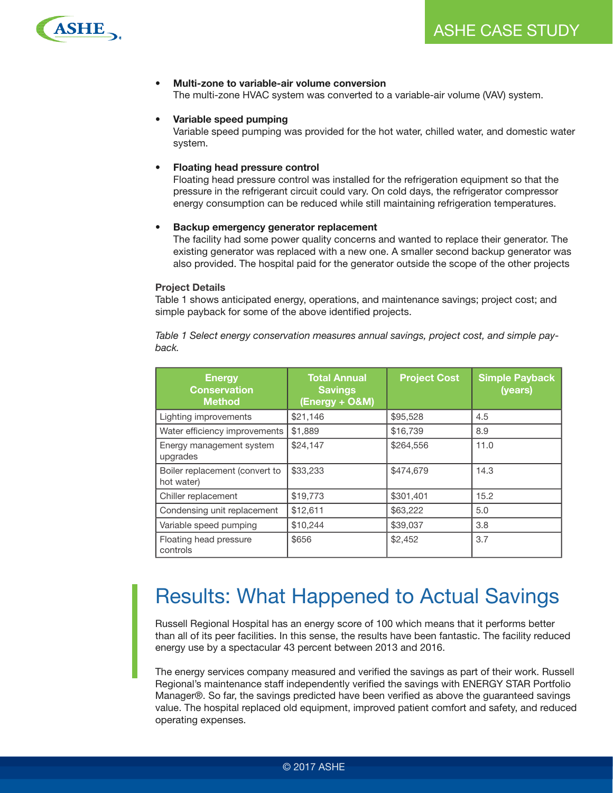

#### **• Multi-zone to variable-air volume conversion**

The multi-zone HVAC system was converted to a variable-air volume (VAV) system.

#### **• Variable speed pumping**

Variable speed pumping was provided for the hot water, chilled water, and domestic water system.

#### **• Floating head pressure control**

Floating head pressure control was installed for the refrigeration equipment so that the pressure in the refrigerant circuit could vary. On cold days, the refrigerator compressor energy consumption can be reduced while still maintaining refrigeration temperatures.

#### **• Backup emergency generator replacement**

The facility had some power quality concerns and wanted to replace their generator. The existing generator was replaced with a new one. A smaller second backup generator was also provided. The hospital paid for the generator outside the scope of the other projects

#### **Project Details**

Table 1 shows anticipated energy, operations, and maintenance savings; project cost; and simple payback for some of the above identified projects.

*Table 1 Select energy conservation measures annual savings, project cost, and simple payback.*

| <b>Energy</b><br><b>Conservation</b><br><b>Method</b> | <b>Total Annual</b><br><b>Savings</b><br>(Energy + O&M) | <b>Project Cost</b> | <b>Simple Payback</b><br>(years) |
|-------------------------------------------------------|---------------------------------------------------------|---------------------|----------------------------------|
| Lighting improvements                                 | \$21,146                                                | \$95,528            | 4.5                              |
| Water efficiency improvements                         | \$1,889                                                 | \$16,739            | 8.9                              |
| Energy management system<br>upgrades                  | \$24,147                                                | \$264,556           | 11.0                             |
| Boiler replacement (convert to<br>hot water)          | \$33,233                                                | \$474,679           | 14.3                             |
| Chiller replacement                                   | \$19,773                                                | \$301,401           | 15.2                             |
| Condensing unit replacement                           | \$12,611                                                | \$63,222            | 5.0                              |
| Variable speed pumping                                | \$10,244                                                | \$39,037            | 3.8                              |
| Floating head pressure<br>controls                    | \$656                                                   | \$2,452             | 3.7                              |

### Results: What Happened to Actual Savings

Russell Regional Hospital has an energy score of 100 which means that it performs better than all of its peer facilities. In this sense, the results have been fantastic. The facility reduced energy use by a spectacular 43 percent between 2013 and 2016.

The energy services company measured and verified the savings as part of their work. Russell Regional's maintenance staff independently verified the savings with ENERGY STAR Portfolio Manager®. So far, the savings predicted have been verified as above the guaranteed savings value. The hospital replaced old equipment, improved patient comfort and safety, and reduced operating expenses.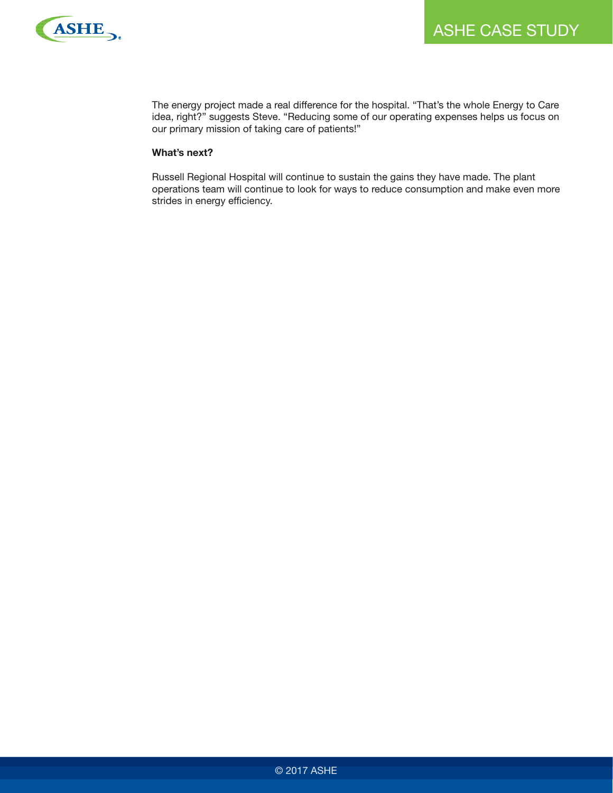

The energy project made a real difference for the hospital. "That's the whole Energy to Care idea, right?" suggests Steve. "Reducing some of our operating expenses helps us focus on our primary mission of taking care of patients!"

#### **What's next?**

Russell Regional Hospital will continue to sustain the gains they have made. The plant operations team will continue to look for ways to reduce consumption and make even more strides in energy efficiency.